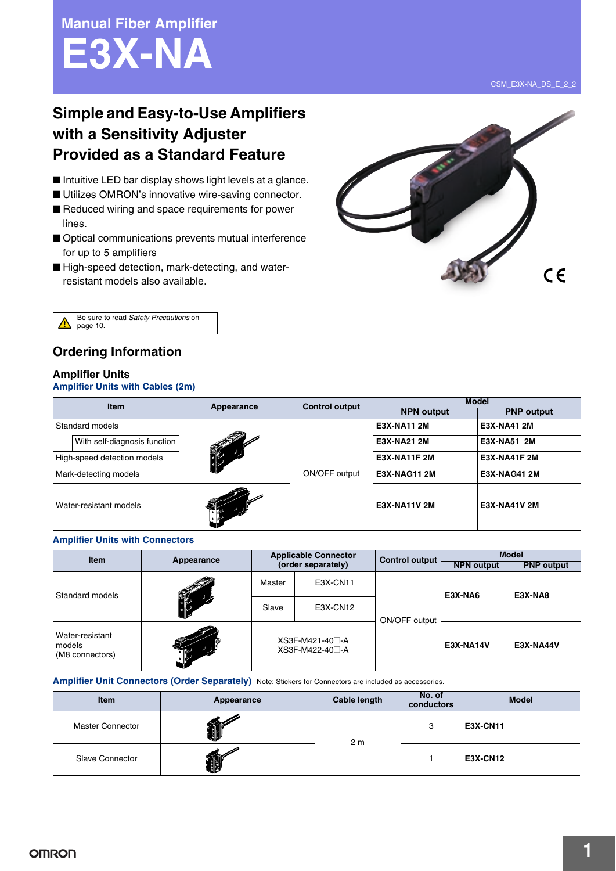**Manual Fiber Amplifier E3X-NA**

# **Simple and Easy-to-Use Amplifiers with a Sensitivity Adjuster Provided as a Standard Feature**

- Intuitive LED bar display shows light levels at a glance.
- Utilizes OMRON's innovative wire-saving connector. ■ Reduced wiring and space requirements for power lines.
- Optical communications prevents mutual interference for up to 5 amplifiers
- High-speed detection, mark-detecting, and waterresistant models also available.





## **Ordering Information**

### **Amplifier Units**

### **Amplifier Units with Cables (2m)**

| <b>Item</b>                  |            | <b>Control output</b> | <b>Model</b>        |                     |  |
|------------------------------|------------|-----------------------|---------------------|---------------------|--|
|                              | Appearance |                       | <b>NPN output</b>   | <b>PNP</b> output   |  |
| Standard models              |            | ON/OFF output         | <b>E3X-NA11 2M</b>  | E3X-NA41 2M         |  |
| With self-diagnosis function | TT         |                       | <b>E3X-NA21 2M</b>  | E3X-NA51 2M         |  |
| High-speed detection models  |            |                       | <b>E3X-NA11F 2M</b> | <b>E3X-NA41F 2M</b> |  |
| Mark-detecting models        |            |                       | <b>E3X-NAG11 2M</b> | <b>E3X-NAG41 2M</b> |  |
| Water-resistant models       |            |                       | <b>E3X-NA11V 2M</b> | <b>E3X-NA41V 2M</b> |  |

#### **Amplifier Units with Connectors**

| <b>Item</b>                                  | Appearance        | <b>Applicable Connector</b><br>(order separately) |          | <b>Control output</b> | <b>Model</b>      |                   |
|----------------------------------------------|-------------------|---------------------------------------------------|----------|-----------------------|-------------------|-------------------|
|                                              |                   |                                                   |          |                       | <b>NPN output</b> | <b>PNP</b> output |
| Standard models                              | <b>COLLECTION</b> | Master                                            | E3X-CN11 |                       | E3X-NA6           | E3X-NA8           |
|                                              |                   | Slave                                             | E3X-CN12 | ON/OFF output         |                   |                   |
| Water-resistant<br>models<br>(M8 connectors) | $\mathscr{F}$     | XS3F-M421-40□-A<br>$XSSF-M422-40$ - A             |          |                       | <b>E3X-NA14V</b>  | E3X-NA44V         |

**Amplifier Unit Connectors (Order Separately)** Note: Stickers for Connectors are included as accessories.

| <b>Item</b>             | Appearance | Cable length   | No. of<br>conductors | <b>Model</b>    |
|-------------------------|------------|----------------|----------------------|-----------------|
| <b>Master Connector</b> | bo d       | 2 <sub>m</sub> | 3                    | <b>E3X-CN11</b> |
| <b>Slave Connector</b>  | 昭          |                |                      | <b>E3X-CN12</b> |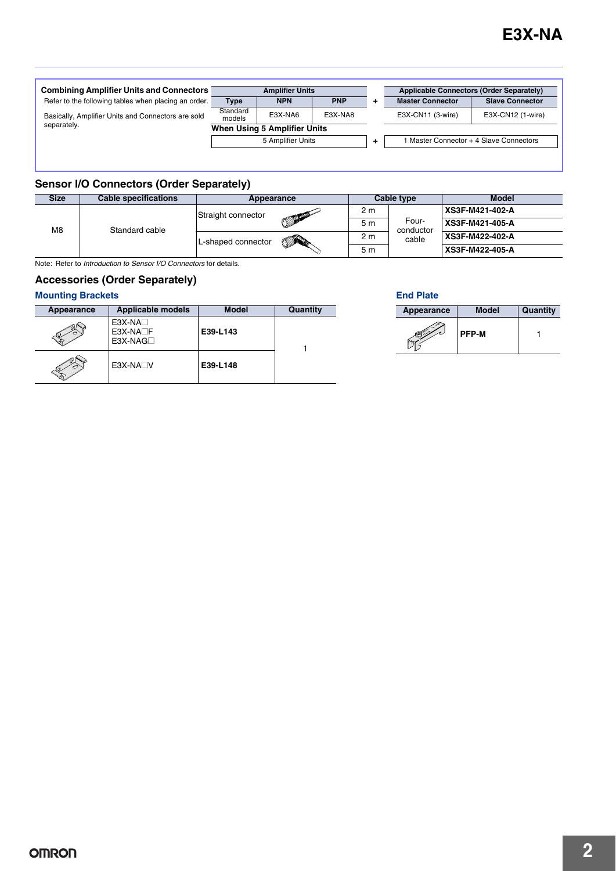| <b>Combining Amplifier Units and Connectors</b>      | <b>Amplifier Units</b>       |            |            |    | <b>Applicable Connectors (Order Separately)</b> |                                         |  |
|------------------------------------------------------|------------------------------|------------|------------|----|-------------------------------------------------|-----------------------------------------|--|
| Refer to the following tables when placing an order. | <b>Type</b>                  | <b>NPN</b> | <b>PNP</b> | ٠. | <b>Master Connector</b>                         | <b>Slave Connector</b>                  |  |
| Basically, Amplifier Units and Connectors are sold   | Standard<br>models           | E3X-NA6    | E3X-NA8    |    | E3X-CN11 (3-wire)                               | E3X-CN12 (1-wire)                       |  |
| separately.                                          | When Using 5 Amplifier Units |            |            |    |                                                 |                                         |  |
|                                                      | 5 Amplifier Units            |            |            | ÷. |                                                 | 1 Master Connector + 4 Slave Connectors |  |
|                                                      |                              |            |            |    |                                                 |                                         |  |

## **Sensor I/O Connectors (Order Separately)**

| <b>Size</b>          | <b>Cable specifications</b> | Appearance         |                   | Cable type |                             | <b>Model</b>    |
|----------------------|-----------------------------|--------------------|-------------------|------------|-----------------------------|-----------------|
| M8<br>Standard cable | Straight connector          |                    | 2 m               |            | XS3F-M421-402-A             |                 |
|                      |                             |                    | <b>COLLECTION</b> | 5 m        | Four-<br>conductor<br>cable | XS3F-M421-405-A |
|                      |                             | L-shaped connector | <b>SARC</b>       | 2 m        |                             | XS3F-M422-402-A |
|                      |                             |                    |                   | 5 m        |                             | XS3F-M422-405-A |

Note: Refer to *Introduction to Sensor I/O Connectors* for details.

### **Accessories (Order Separately)**

## **Mounting Brackets**

| Appearance | <b>Applicable models</b>                | <b>Model</b> | Quantity |
|------------|-----------------------------------------|--------------|----------|
|            | $E3X-NA$<br>$E3X-NA\Box F$<br>$E3X-NAG$ | E39-L143     |          |
|            | $E3X-NA\n\neg V$                        | E39-L148     |          |

### **End Plate**

| Appearance | <b>Model</b> | Quantity |
|------------|--------------|----------|
|            | <b>PFP-M</b> |          |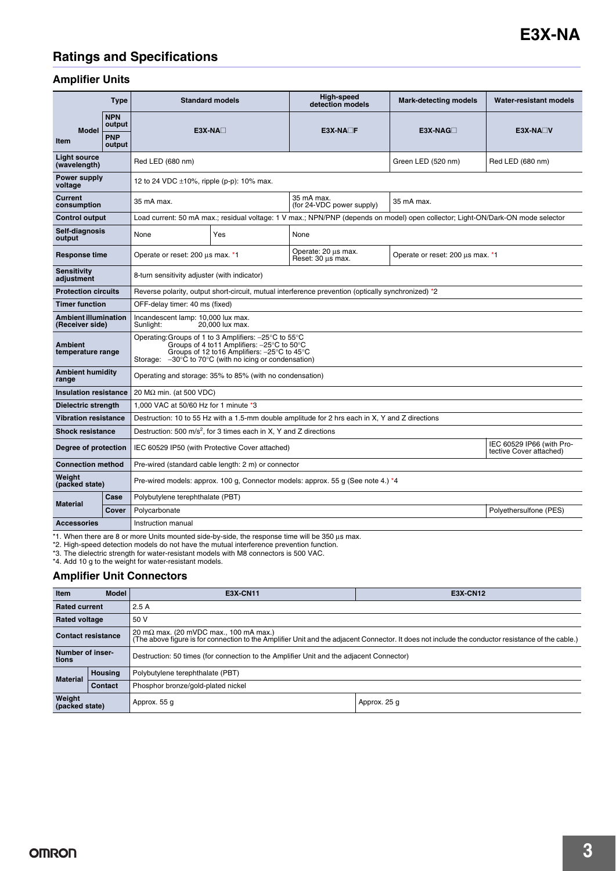# **Ratings and Specifications**

### **Amplifier Units**

|                                                | <b>Type</b>                                                                      |                                                                                                    | <b>Standard models</b>                                                                                                                                                                                                     | <b>High-speed</b><br>detection models                                                                                           | <b>Mark-detecting models</b>     | <b>Water-resistant models</b>                        |  |
|------------------------------------------------|----------------------------------------------------------------------------------|----------------------------------------------------------------------------------------------------|----------------------------------------------------------------------------------------------------------------------------------------------------------------------------------------------------------------------------|---------------------------------------------------------------------------------------------------------------------------------|----------------------------------|------------------------------------------------------|--|
| <b>Model</b><br>Item                           | <b>NPN</b><br>output<br><b>PNP</b><br>output                                     |                                                                                                    | $E3X-NA\Box$                                                                                                                                                                                                               | $E3X-NA\Box F$                                                                                                                  | $E3X-NAG$                        | $E3X-NA\Box V$                                       |  |
| <b>Light source</b><br>(wavelength)            |                                                                                  | Red LED (680 nm)                                                                                   |                                                                                                                                                                                                                            |                                                                                                                                 | Green LED (520 nm)               | Red LED (680 nm)                                     |  |
| Power supply<br>voltage                        |                                                                                  | 12 to 24 VDC $\pm$ 10%, ripple (p-p): 10% max.                                                     |                                                                                                                                                                                                                            |                                                                                                                                 |                                  |                                                      |  |
| <b>Current</b><br>consumption                  |                                                                                  | 35 mA max.                                                                                         |                                                                                                                                                                                                                            | 35 mA max.<br>(for 24-VDC power supply)                                                                                         | 35 mA max.                       |                                                      |  |
| <b>Control output</b>                          |                                                                                  |                                                                                                    |                                                                                                                                                                                                                            | Load current: 50 mA max.; residual voltage: 1 V max.; NPN/PNP (depends on model) open collector; Light-ON/Dark-ON mode selector |                                  |                                                      |  |
| Self-diagnosis<br>output                       |                                                                                  | None                                                                                               | Yes                                                                                                                                                                                                                        | None                                                                                                                            |                                  |                                                      |  |
| <b>Response time</b>                           |                                                                                  | Operate or reset: 200 µs max. *1                                                                   |                                                                                                                                                                                                                            | Operate: 20 us max.<br>Reset: 30 us max.                                                                                        | Operate or reset: 200 µs max. *1 |                                                      |  |
| <b>Sensitivity</b><br>adjustment               |                                                                                  | 8-turn sensitivity adjuster (with indicator)                                                       |                                                                                                                                                                                                                            |                                                                                                                                 |                                  |                                                      |  |
| <b>Protection circuits</b>                     |                                                                                  | Reverse polarity, output short-circuit, mutual interference prevention (optically synchronized) *2 |                                                                                                                                                                                                                            |                                                                                                                                 |                                  |                                                      |  |
| <b>Timer function</b>                          |                                                                                  | OFF-delay timer: 40 ms (fixed)                                                                     |                                                                                                                                                                                                                            |                                                                                                                                 |                                  |                                                      |  |
| <b>Ambient illumination</b><br>(Receiver side) |                                                                                  | Incandescent lamp: 10,000 lux max.<br>20,000 lux max.<br>Sunlight:                                 |                                                                                                                                                                                                                            |                                                                                                                                 |                                  |                                                      |  |
| <b>Ambient</b><br>temperature range            |                                                                                  | Storage:                                                                                           | Operating: Groups of 1 to 3 Amplifiers: -25°C to 55°C<br>Groups of 4 to 11 Amplifiers: -25°C to 50°C<br>Groups of 12 to 16 Amplifiers: -25°C to 45°C<br>$-30^{\circ}$ C to 70 $^{\circ}$ C (with no icing or condensation) |                                                                                                                                 |                                  |                                                      |  |
| <b>Ambient humidity</b><br>range               |                                                                                  |                                                                                                    | Operating and storage: 35% to 85% (with no condensation)                                                                                                                                                                   |                                                                                                                                 |                                  |                                                      |  |
| <b>Insulation resistance</b>                   |                                                                                  | 20 M $\Omega$ min. (at 500 VDC)                                                                    |                                                                                                                                                                                                                            |                                                                                                                                 |                                  |                                                      |  |
| Dielectric strength                            |                                                                                  | 1.000 VAC at 50/60 Hz for 1 minute *3                                                              |                                                                                                                                                                                                                            |                                                                                                                                 |                                  |                                                      |  |
| <b>Vibration resistance</b>                    |                                                                                  |                                                                                                    |                                                                                                                                                                                                                            | Destruction: 10 to 55 Hz with a 1.5-mm double amplitude for 2 hrs each in X, Y and Z directions                                 |                                  |                                                      |  |
| <b>Shock resistance</b>                        |                                                                                  |                                                                                                    | Destruction: 500 m/s <sup>2</sup> , for 3 times each in X, Y and Z directions                                                                                                                                              |                                                                                                                                 |                                  |                                                      |  |
| Degree of protection                           |                                                                                  |                                                                                                    | IEC 60529 IP50 (with Protective Cover attached)                                                                                                                                                                            |                                                                                                                                 |                                  | IEC 60529 IP66 (with Pro-<br>tective Cover attached) |  |
| <b>Connection method</b>                       |                                                                                  |                                                                                                    | Pre-wired (standard cable length: 2 m) or connector                                                                                                                                                                        |                                                                                                                                 |                                  |                                                      |  |
| Weight<br>(packed state)                       | Pre-wired models: approx. 100 g, Connector models: approx. 55 g (See note 4.) *4 |                                                                                                    |                                                                                                                                                                                                                            |                                                                                                                                 |                                  |                                                      |  |
|                                                | Case                                                                             | Polybutylene terephthalate (PBT)                                                                   |                                                                                                                                                                                                                            |                                                                                                                                 |                                  |                                                      |  |
| <b>Material</b>                                | Cover                                                                            | Polycarbonate                                                                                      |                                                                                                                                                                                                                            |                                                                                                                                 |                                  | Polyethersulfone (PES)                               |  |
| <b>Accessories</b>                             |                                                                                  | Instruction manual                                                                                 |                                                                                                                                                                                                                            |                                                                                                                                 |                                  |                                                      |  |

\*1. When there are 8 or more Units mounted side-by-side, the response time will be 350 µs max.<br>\*2. High-speed detection models do not have the mutual interference prevention function.<br>\*3. The dielectric strength for water-

### **Amplifier Unit Connectors**

\*4. Add 10 g to the weight for water-resistant models.

| Item                      | <b>Model</b>   | <b>E3X-CN11</b>                                                                                                                                                                                     | <b>E3X-CN12</b> |  |  |
|---------------------------|----------------|-----------------------------------------------------------------------------------------------------------------------------------------------------------------------------------------------------|-----------------|--|--|
| <b>Rated current</b>      |                | 2.5A                                                                                                                                                                                                |                 |  |  |
| <b>Rated voltage</b>      |                | 50 V                                                                                                                                                                                                |                 |  |  |
| <b>Contact resistance</b> |                | 20 m $\Omega$ max. (20 mVDC max., 100 mA max.)<br>(The above figure is for connection to the Amplifier Unit and the adjacent Connector. It does not include the conductor resistance of the cable.) |                 |  |  |
| Number of inser-<br>tions |                | Destruction: 50 times (for connection to the Amplifier Unit and the adjacent Connector)                                                                                                             |                 |  |  |
| <b>Material</b>           | <b>Housing</b> | Polybutylene terephthalate (PBT)                                                                                                                                                                    |                 |  |  |
|                           | Contact        | Phosphor bronze/gold-plated nickel                                                                                                                                                                  |                 |  |  |
| Weight<br>(packed state)  |                | Approx. 55 g                                                                                                                                                                                        | Approx. 25 g    |  |  |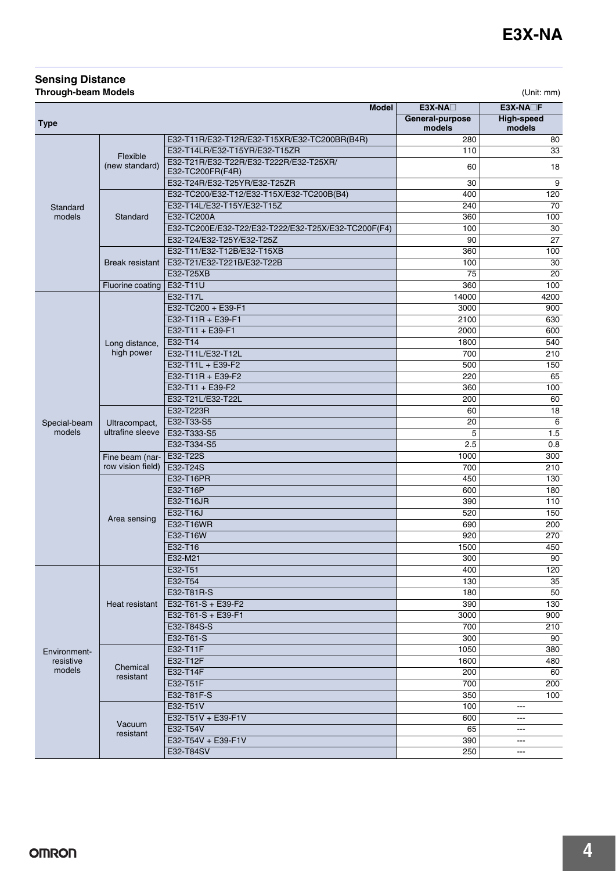#### **Sensing Distance Through-beam Models** (Unit: mm)

|                     |                                   | <b>Model</b>                                               | E3X-NA <sub>D</sub> | E3X-NA <sub>L</sub> F |
|---------------------|-----------------------------------|------------------------------------------------------------|---------------------|-----------------------|
|                     |                                   |                                                            | General-purpose     | High-speed            |
| <b>Type</b>         |                                   |                                                            | models              | models                |
|                     |                                   | E32-T11R/E32-T12R/E32-T15XR/E32-TC200BR(B4R)               | 280                 | 80                    |
|                     | Flexible                          | E32-T14LR/E32-T15YR/E32-T15ZR                              | 110                 | 33                    |
| Standard<br>models  | (new standard)                    | E32-T21R/E32-T22R/E32-T222R/E32-T25XR/<br>E32-TC200FR(F4R) | 60                  | 18                    |
|                     |                                   | E32-T24R/E32-T25YR/E32-T25ZR                               | 30                  | $\overline{9}$        |
|                     |                                   | E32-TC200/E32-T12/E32-T15X/E32-TC200B(B4)                  | 400                 | 120                   |
|                     |                                   | E32-T14L/E32-T15Y/E32-T15Z                                 | 240                 | 70                    |
|                     | Standard                          | E32-TC200A                                                 | 360                 | 100                   |
|                     |                                   | E32-TC200E/E32-T22/E32-T222/E32-T25X/E32-TC200F(F4)        | 100                 | 30                    |
|                     |                                   | E32-T24/E32-T25Y/E32-T25Z                                  | 90                  | $\overline{27}$       |
|                     |                                   | E32-T11/E32-T12B/E32-T15XB                                 | 360                 | 100                   |
|                     | Break resistant                   | E32-T21/E32-T221B/E32-T22B                                 | 100                 | 30                    |
|                     |                                   | E32-T25XB                                                  | $\overline{75}$     | $\overline{20}$       |
|                     | Fluorine coating                  | E32-T11U                                                   | 360                 | 100                   |
|                     |                                   | E32-T17L                                                   | 14000               | 4200                  |
|                     |                                   | E32-TC200 + E39-F1                                         | 3000                | 900                   |
|                     | E32-T11R + E39-F1                 | 2100                                                       | 630                 |                       |
|                     |                                   | E32-T11 + E39-F1                                           | 2000                | 600                   |
|                     | Long distance,                    | E32-T14                                                    | 1800                | 540                   |
|                     | high power                        | E32-T11L/E32-T12L                                          | 700                 | 210                   |
|                     |                                   | E32-T11L + E39-F2                                          | 500                 | 150                   |
|                     |                                   | E32-T11R + E39-F2                                          | 220                 | 65                    |
|                     |                                   | E32-T11 + E39-F2                                           | 360                 | 100                   |
|                     |                                   | E32-T21L/E32-T22L                                          | 200                 | 60                    |
|                     | Ultracompact,<br>ultrafine sleeve | E32-T223R                                                  | 60                  | 18                    |
| Special-beam        |                                   | E32-T33-S5                                                 | 20                  | 6                     |
| models              |                                   | E32-T333-S5                                                | 5                   | 1.5                   |
|                     |                                   | E32-T334-S5                                                | 2.5                 | 0.8                   |
|                     | Fine beam (nar-                   | E32-T22S                                                   | 1000                | 300                   |
|                     | row vision field)                 | E32-T24S                                                   | 700                 | 210                   |
|                     |                                   | E32-T16PR                                                  | 450                 | 130                   |
|                     |                                   | E32-T16P                                                   | 600                 | 180                   |
|                     |                                   | E32-T16JR                                                  | 390                 | 110                   |
|                     | Area sensing                      | E32-T16J                                                   | 520                 | 150                   |
|                     |                                   | E32-T16WR                                                  | 690                 | 200                   |
|                     |                                   | E32-T16W                                                   | 920                 | 270                   |
|                     |                                   | E32-T16                                                    | 1500                | 450                   |
|                     |                                   | E32-M21                                                    | 300                 | 90                    |
|                     |                                   | E32-T51                                                    | 400                 | 120                   |
|                     |                                   | E32-T54                                                    | 130                 | 35                    |
|                     |                                   | E32-T81R-S                                                 | 180                 | 50                    |
|                     | Heat resistant                    | E32-T61-S + E39-F2                                         | 390                 | 130                   |
|                     |                                   | E32-T61-S + E39-F1                                         | 3000                | 900                   |
|                     |                                   | E32-T84S-S                                                 | 700                 | 210                   |
|                     |                                   | E32-T61-S                                                  | 300                 | 90                    |
| Environment-        |                                   | E32-T11F                                                   | 1050                | 380                   |
| resistive<br>models | Chemical                          | E32-T12F                                                   | 1600                | 480                   |
|                     | resistant                         | E32-T14F                                                   | 200                 | 60                    |
|                     |                                   | E32-T51F                                                   | 700                 | 200                   |
|                     |                                   | E32-T81F-S                                                 | 350                 | 100                   |
|                     |                                   | E32-T51V                                                   | 100                 | $---$                 |
|                     | Vacuum                            | E32-T51V + E39-F1V                                         | 600                 | $\qquad \qquad -$     |
|                     | resistant                         | E32-T54V                                                   | 65                  | ---                   |
|                     |                                   | E32-T54V + E39-F1V                                         | 390                 | $\qquad \qquad -$     |
|                     |                                   | E32-T84SV                                                  | 250                 | $\sim$ $\sim$ $\sim$  |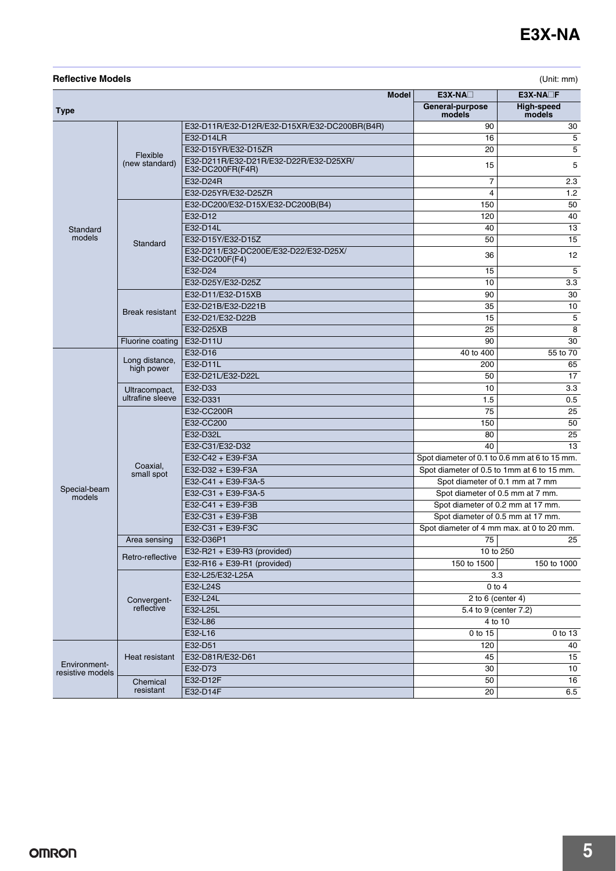| <b>Reflective Models</b> |                                   |                                                            |                                               | (Unit: mm)           |
|--------------------------|-----------------------------------|------------------------------------------------------------|-----------------------------------------------|----------------------|
|                          |                                   | <b>Model</b>                                               | $E3X-NA$                                      | $E3X-NA$             |
| <b>Type</b>              |                                   |                                                            | General-purpose<br>models                     | High-speed<br>models |
|                          |                                   | E32-D11R/E32-D12R/E32-D15XR/E32-DC200BR(B4R)               | 90                                            | 30                   |
|                          |                                   | E32-D14LR                                                  | 16                                            | 5                    |
|                          |                                   | E32-D15YR/E32-D15ZR                                        | 20                                            | 5                    |
|                          | Flexible<br>(new standard)        | E32-D211R/E32-D21R/E32-D22R/E32-D25XR/<br>E32-DC200FR(F4R) | 15                                            | 5                    |
|                          |                                   | E32-D24R                                                   | 7                                             | 2.3                  |
|                          |                                   | E32-D25YR/E32-D25ZR                                        | 4                                             | 1.2                  |
|                          |                                   | E32-DC200/E32-D15X/E32-DC200B(B4)                          | 150                                           | 50                   |
|                          |                                   | E32-D12                                                    | 120                                           | 40                   |
| Standard                 |                                   | E32-D14L                                                   | 40                                            | 13                   |
| models                   | Standard                          | E32-D15Y/E32-D15Z                                          | 50                                            | 15                   |
|                          |                                   | E32-D211/E32-DC200E/E32-D22/E32-D25X/<br>E32-DC200F(F4)    | 36                                            | 12                   |
|                          |                                   | E32-D24                                                    | 15                                            | 5                    |
|                          |                                   | E32-D25Y/E32-D25Z                                          | 10                                            | 3.3                  |
|                          |                                   | E32-D11/E32-D15XB                                          | 90                                            | 30                   |
|                          |                                   | E32-D21B/E32-D221B                                         | 35                                            | 10                   |
|                          | <b>Break resistant</b>            | E32-D21/E32-D22B                                           | 15                                            | 5                    |
|                          |                                   | E32-D25XB                                                  | 25                                            | 8                    |
|                          | Fluorine coating                  | E32-D11U                                                   | 90                                            | 30                   |
|                          | Long distance,<br>high power      | E32-D16                                                    | 40 to 400                                     | 55 to 70             |
|                          |                                   | E32-D11L                                                   | 200                                           | 65                   |
|                          |                                   | E32-D21L/E32-D22L                                          | 50                                            | 17                   |
|                          | Ultracompact,<br>ultrafine sleeve | E32-D33                                                    | 10                                            | 3.3                  |
|                          |                                   | E32-D331                                                   | 1.5                                           | 0.5                  |
|                          |                                   | E32-CC200R                                                 | 75                                            | 25                   |
|                          |                                   | E32-CC200                                                  | 150                                           | 50                   |
|                          |                                   | E32-D32L                                                   | 80                                            | 25                   |
|                          |                                   | E32-C31/E32-D32                                            | 40                                            | 13                   |
|                          |                                   | E32-C42 + E39-F3A                                          | Spot diameter of 0.1 to 0.6 mm at 6 to 15 mm. |                      |
|                          | Coaxial,<br>small spot            | E32-D32 + E39-F3A                                          | Spot diameter of 0.5 to 1mm at 6 to 15 mm.    |                      |
|                          |                                   | E32-C41 + E39-F3A-5                                        | Spot diameter of 0.1 mm at 7 mm               |                      |
| Special-beam<br>models   |                                   | E32-C31 + E39-F3A-5                                        | Spot diameter of 0.5 mm at 7 mm.              |                      |
|                          |                                   | E32-C41 + E39-F3B                                          | Spot diameter of 0.2 mm at 17 mm.             |                      |
|                          |                                   | E32-C31 + E39-F3B                                          | Spot diameter of 0.5 mm at 17 mm.             |                      |
|                          |                                   | E32-C31 + E39-F3C                                          | Spot diameter of 4 mm max. at 0 to 20 mm.     |                      |
|                          | Area sensing                      | E32-D36P1                                                  | 75                                            | 25                   |
|                          |                                   | E32-R21 + E39-R3 (provided)                                | 10 to 250                                     |                      |
|                          | Retro-reflective                  | E32-R16 + E39-R1 (provided)                                | 150 to 1500                                   | 150 to 1000          |
|                          |                                   | E32-L25/E32-L25A                                           | 3.3                                           |                      |
|                          |                                   | E32-L24S                                                   | $0$ to $4$                                    |                      |
|                          | Convergent-                       | E32-L24L                                                   | 2 to 6 (center 4)                             |                      |
|                          | reflective                        | E32-L25L                                                   | 5.4 to 9 (center 7.2)                         |                      |
|                          |                                   | E32-L86                                                    | 4 to 10                                       |                      |
|                          |                                   | E32-L16                                                    | 0 to 15                                       | 0 to 13              |
|                          |                                   | E32-D51                                                    | 120                                           | 40                   |
|                          | Heat resistant                    | E32-D81R/E32-D61                                           | 45                                            | 15                   |
| Environment-             |                                   | E32-D73                                                    | 30                                            | 10                   |
| resistive models         | Chemical                          | E32-D12F                                                   | 50                                            | 16                   |
|                          | resistant                         | E32-D14F                                                   | 20                                            | 6.5                  |
|                          |                                   |                                                            |                                               |                      |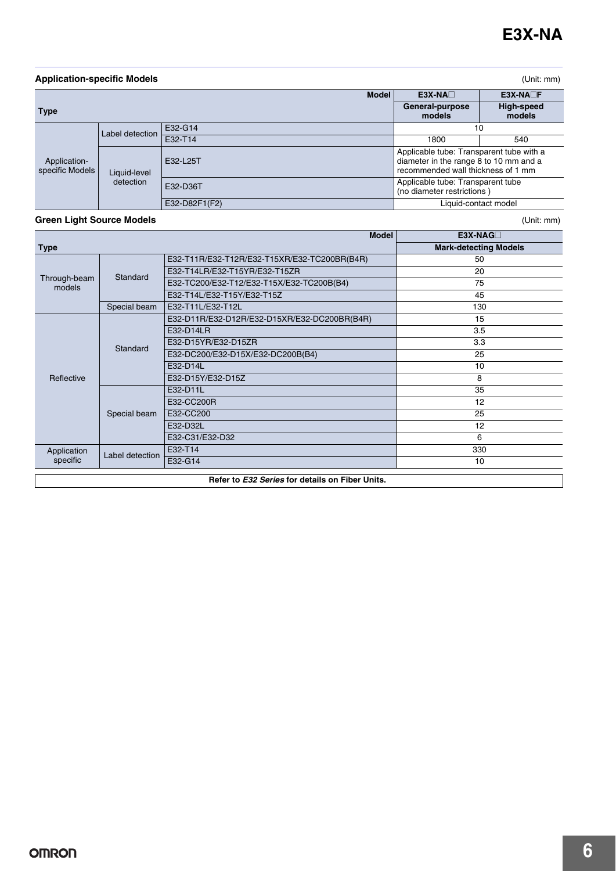| <b>Application-specific Models</b> |                 |                                                 |                                                                                                                          | (Unit: mm)                   |
|------------------------------------|-----------------|-------------------------------------------------|--------------------------------------------------------------------------------------------------------------------------|------------------------------|
|                                    |                 | <b>Model</b>                                    | $E3X-NA$                                                                                                                 | $E3X-NA$                     |
| <b>Type</b>                        |                 |                                                 | General-purpose<br>models                                                                                                | <b>High-speed</b><br>models  |
|                                    | Label detection | E32-G14                                         |                                                                                                                          | 10                           |
|                                    |                 | E32-T14                                         | 1800                                                                                                                     | 540                          |
| Application-<br>specific Models    | Liquid-level    | E32-L25T                                        | Applicable tube: Transparent tube with a<br>diameter in the range 8 to 10 mm and a<br>recommended wall thickness of 1 mm |                              |
|                                    | detection       | E32-D36T                                        | Applicable tube: Transparent tube<br>(no diameter restrictions)                                                          |                              |
|                                    |                 | E32-D82F1(F2)                                   |                                                                                                                          | Liquid-contact model         |
| <b>Green Light Source Models</b>   |                 |                                                 |                                                                                                                          | (Unit: mm)                   |
|                                    |                 | <b>Model</b>                                    |                                                                                                                          | E3X-NAGO                     |
| <b>Type</b>                        |                 |                                                 |                                                                                                                          | <b>Mark-detecting Models</b> |
|                                    |                 | E32-T11R/E32-T12R/E32-T15XR/E32-TC200BR(B4R)    |                                                                                                                          | 50                           |
| Through-beam                       | Standard        | E32-T14LR/E32-T15YR/E32-T15ZR                   |                                                                                                                          | 20                           |
| models                             |                 | E32-TC200/E32-T12/E32-T15X/E32-TC200B(B4)       |                                                                                                                          | 75                           |
|                                    |                 | E32-T14L/E32-T15Y/E32-T15Z                      |                                                                                                                          | 45                           |
|                                    | Special beam    | E32-T11L/E32-T12L                               |                                                                                                                          | 130                          |
|                                    |                 | E32-D11R/E32-D12R/E32-D15XR/E32-DC200BR(B4R)    |                                                                                                                          | 15                           |
|                                    |                 | E32-D14LR                                       |                                                                                                                          | 3.5                          |
|                                    | Standard        | E32-D15YR/E32-D15ZR                             |                                                                                                                          | 3.3                          |
|                                    |                 | E32-DC200/E32-D15X/E32-DC200B(B4)               |                                                                                                                          | 25                           |
|                                    |                 | E32-D14L                                        |                                                                                                                          | 10                           |
| Reflective                         |                 | E32-D15Y/E32-D15Z                               |                                                                                                                          | 8                            |
|                                    |                 | E32-D11L                                        |                                                                                                                          | 35                           |
|                                    |                 | E32-CC200R                                      |                                                                                                                          | 12                           |
|                                    | Special beam    | E32-CC200                                       | 25                                                                                                                       |                              |
|                                    |                 | E32-D32L                                        |                                                                                                                          | 12                           |
|                                    |                 | E32-C31/E32-D32                                 |                                                                                                                          | 6                            |
| Application                        | Label detection | E32-T14                                         |                                                                                                                          | 330                          |
| specific                           |                 | E32-G14                                         |                                                                                                                          | 10                           |
|                                    |                 | Refer to E32 Series for details on Fiber Units. |                                                                                                                          |                              |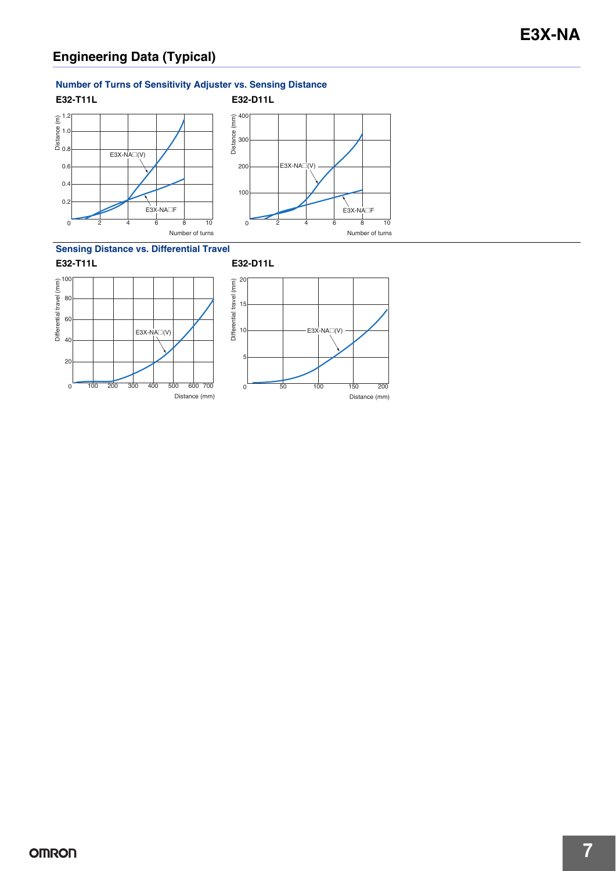#### **Number of Turns of Sensitivity Adjuster vs. Sensing Distance**



**Sensing Distance vs. Differential Travel**





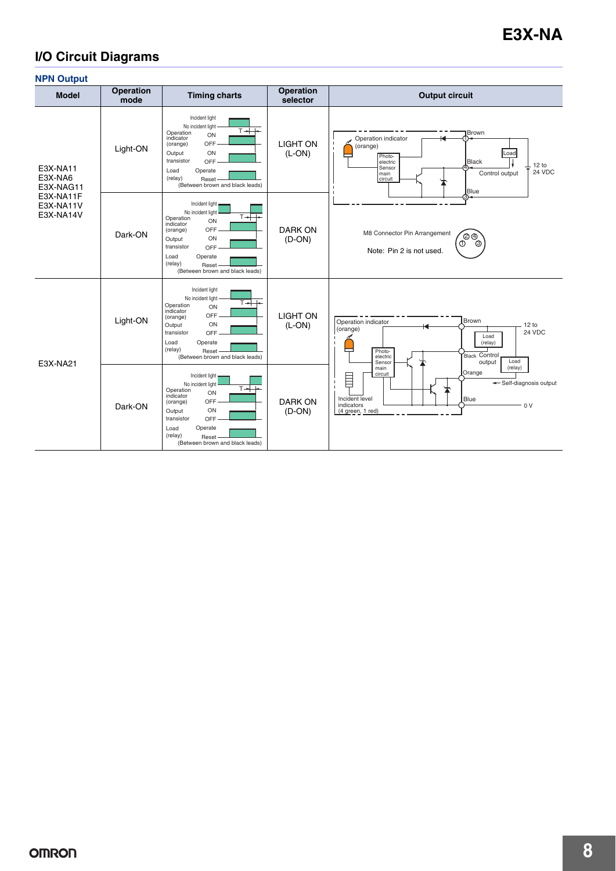# **I/O Circuit Diagrams**

| <b>NPN Output</b>                                                       |                          |                                                                                                                                                                                                                              |                              |                                                                                                                                                                                |
|-------------------------------------------------------------------------|--------------------------|------------------------------------------------------------------------------------------------------------------------------------------------------------------------------------------------------------------------------|------------------------------|--------------------------------------------------------------------------------------------------------------------------------------------------------------------------------|
| <b>Model</b>                                                            | <b>Operation</b><br>mode | <b>Timing charts</b>                                                                                                                                                                                                         | <b>Operation</b><br>selector | <b>Output circuit</b>                                                                                                                                                          |
| E3X-NA11<br>E3X-NA6<br>E3X-NAG11<br>E3X-NA11F<br>E3X-NA11V<br>E3X-NA14V | Light-ON                 | Incident light<br>No incident light<br>$T +$<br>Operation<br>ON<br>indicator<br>OFF<br>(orange)<br>ON<br>Output<br>transistor<br><b>OFF</b><br>Operate<br>Load<br>(relay)<br>Reset<br>(Between brown and black leads)        | <b>LIGHT ON</b><br>$(L-ON)$  | Brown<br>Operation indicator<br>٠<br>(orange)<br>$\mathbf{I}$<br>Load<br>Photo-<br>electric<br>Black<br>12 to<br>Sensor<br>24 VDC<br>Control output<br>main<br>circuit<br>Blue |
|                                                                         | Dark-ON                  | Incident light<br>No incident light<br>⊤≁<br>Operation<br>ON<br>indicator<br>OFF<br>(orange)<br>ON<br>Output<br>transistor<br>OFF<br>Load<br>Operate<br>(relay)<br>Reset<br>(Between brown and black leads)                  | DARK ON<br>$(D-ON)$          | M8 Connector Pin Arrangement<br>$\bigcircled{2}$<br>$\circledcirc$<br>Note: Pin 2 is not used.                                                                                 |
| E3X-NA21                                                                | Light-ON                 | Incident light<br>No incident light<br>$T \rightarrow +$<br>Operation<br>ON<br>indicator<br>OFF-<br>(orange)<br>ON<br>Output<br>transistor<br>OFF-<br>Load<br>Operate<br>(relay)<br>Reset<br>(Between brown and black leads) | <b>LIGHT ON</b><br>$(L-ON)$  | Brown<br>Operation indicator<br>12 to<br>(orange)<br>24 VDC<br>Load<br>(relay)<br>Photo-<br><b>Black Control</b><br>electric<br>Load<br>output<br>Sensor                       |
|                                                                         | Dark-ON                  | Incident light<br>No incident light<br>⊤→⊦<br>Operation<br>ON<br>indicator<br>OFF<br>(orange)<br>ON<br>Output<br>transistor<br>OFF<br>Operate<br>Load<br>(relay)<br>Reset<br>(Between brown and black leads)                 | <b>DARK ON</b><br>$(D-ON)$   | (relay)<br>main<br>Orange<br>circuit<br>E<br>-Self-diagnosis output<br>Incident level<br>Blue<br>indicators<br>0 <sup>V</sup><br>(4 green, 1 red)                              |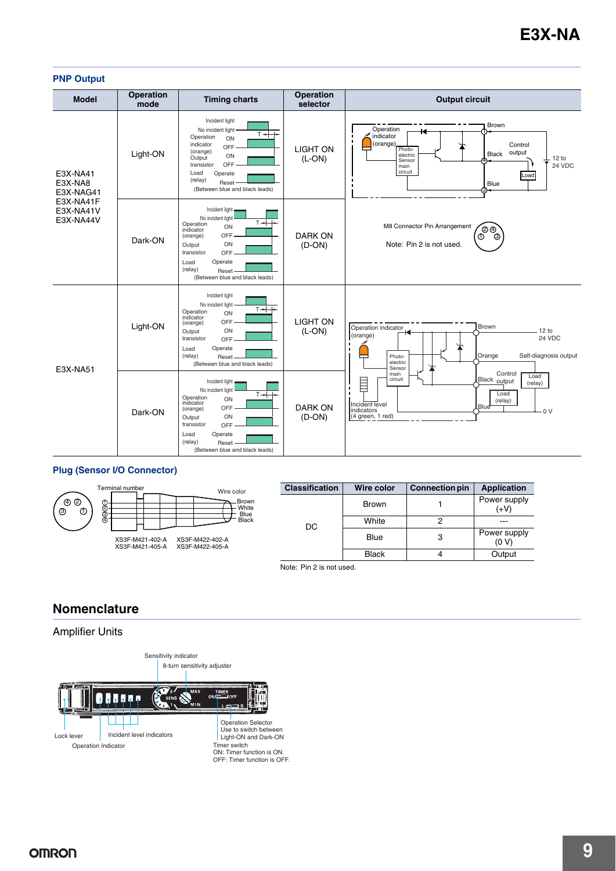#### **PNP Output**

| <b>Model</b>                                                            | <b>Operation</b><br>mode | <b>Timing charts</b>                                                                                                                                                                                              | <b>Operation</b><br>selector | <b>Output circuit</b>                                                                                                                                                                                                                                                                                             |
|-------------------------------------------------------------------------|--------------------------|-------------------------------------------------------------------------------------------------------------------------------------------------------------------------------------------------------------------|------------------------------|-------------------------------------------------------------------------------------------------------------------------------------------------------------------------------------------------------------------------------------------------------------------------------------------------------------------|
| E3X-NA41<br>E3X-NA8<br>E3X-NAG41<br>E3X-NA41F<br>E3X-NA41V<br>E3X-NA44V | Light-ON                 | Incident light<br>No incident light<br>⊤≁<br>Operation<br>ON<br>indicator<br>OFF<br>(orange)<br>ON<br>Output<br><b>OFF</b><br>transistor<br>Load<br>Operate<br>(relay)<br>Reset<br>(Between blue and black leads) | <b>LIGHT ON</b><br>$(L-ON)$  | Brown<br>Operation<br>indicator<br>(orange)<br>Control<br>Photo-<br>output<br>Black<br>electric<br>12 to<br>Sensor<br>24 VDC<br>main<br>circuit<br>Load<br>Blue<br>зъ                                                                                                                                             |
|                                                                         | Dark-ON                  | Incident light,<br>No incident light<br>$T + +$<br>Operation<br>ON<br>indicator<br>OFF<br>(orange)<br>ON<br>Output<br>transistor<br>OFF<br>Operate<br>Load<br>(relay)<br>Reset<br>(Between blue and black leads)  | <b>DARK ON</b><br>$(D-ON)$   | M8 Connector Pin Arrangement<br><u>්ල ල</u><br>☺<br>Note: Pin 2 is not used.                                                                                                                                                                                                                                      |
| E3X-NA51                                                                | Light-ON                 | Incident light<br>No incident light<br>$T + F$<br>Operation<br>ON<br>indicator<br>OFF-<br>(orange)<br>ON<br>Output<br>transistor<br>OFF-<br>Load<br>Operate<br>(relay)<br>Reset<br>(Between blue and black leads) | <b>LIGHT ON</b><br>$(L-ON)$  | Brown<br>Operation indicator<br>12 to<br>(orange)<br>24 VDC<br>Self-diagnosis output<br>Orange<br>Photo-<br>─<br>electric<br>Sensor<br>Control<br>main<br>Load<br>Black <sub>output</sub><br>circuit<br>E<br>(relay)<br>Load<br>(relay)<br>Incident level<br><b>LBlue</b><br>indicators<br>0V<br>(4 green, 1 red) |
|                                                                         | Dark-ON                  | Incident light<br>No incident light<br>$T + +$<br>Operation<br>ON<br>indicator<br>OFF<br>(orange)<br>ON<br>Output<br>transistor<br>OFF<br>Operate<br>Load<br>(relay)<br>Reset<br>(Between blue and black leads)   | <b>DARK ON</b><br>$(D-ON)$   |                                                                                                                                                                                                                                                                                                                   |

#### **Plug (Sensor I/O Connector)**



Note: Pin 2 is not used.

## **Nomenclature**

### Amplifier Units

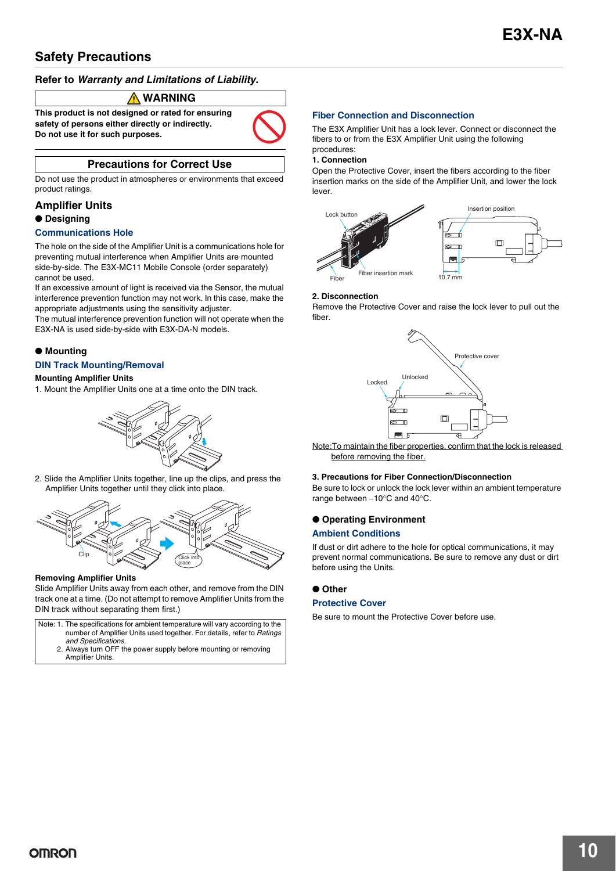# **Safety Precautions**

#### **Refer to** *Warranty and Limitations of Liability***.**

#### **WARNING**

**This product is not designed or rated for ensuring safety of persons either directly or indirectly. Do not use it for such purposes.**

#### **Precautions for Correct Use**

Do not use the product in atmospheres or environments that exceed product ratings.

#### **Amplifier Units**

#### ● **Designing**

#### **Communications Hole**

The hole on the side of the Amplifier Unit is a communications hole for preventing mutual interference when Amplifier Units are mounted side-by-side. The E3X-MC11 Mobile Console (order separately) cannot be used.

If an excessive amount of light is received via the Sensor, the mutual interference prevention function may not work. In this case, make the appropriate adjustments using the sensitivity adjuster.

The mutual interference prevention function will not operate when the E3X-NA is used side-by-side with E3X-DA-N models.

#### ● **Mounting**

#### **DIN Track Mounting/Removal**

#### **Mounting Amplifier Units**

1. Mount the Amplifier Units one at a time onto the DIN track.



2. Slide the Amplifier Units together, line up the clips, and press the Amplifier Units together until they click into place.



#### **Removing Amplifier Units**

Slide Amplifier Units away from each other, and remove from the DIN track one at a time. (Do not attempt to remove Amplifier Units from the DIN track without separating them first.)

| Note: 1. The specifications for ambient temperature will vary according to the |
|--------------------------------------------------------------------------------|
| number of Amplifier Units used together. For details, refer to Ratings         |
| and Specifications.                                                            |
| 2. Always turn OFF the power supply before mounting or removing                |
| Amplifier Units.                                                               |

#### **Fiber Connection and Disconnection**

The E3X Amplifier Unit has a lock lever. Connect or disconnect the fibers to or from the E3X Amplifier Unit using the following

#### procedures: **1. Connection**

Open the Protective Cover, insert the fibers according to the fiber insertion marks on the side of the Amplifier Unit, and lower the lock lever.



#### **2. Disconnection**

Remove the Protective Cover and raise the lock lever to pull out the fiber.



Note:To maintain the fiber properties, confirm that the lock is released before removing the fiber.

#### **3. Precautions for Fiber Connection/Disconnection**

Be sure to lock or unlock the lock lever within an ambient temperature range between  $-10^{\circ}$ C and  $40^{\circ}$ C.

#### ● **Operating Environment**

#### **Ambient Conditions**

If dust or dirt adhere to the hole for optical communications, it may prevent normal communications. Be sure to remove any dust or dirt before using the Units.

#### ● **Other**

#### **Protective Cover**

Be sure to mount the Protective Cover before use.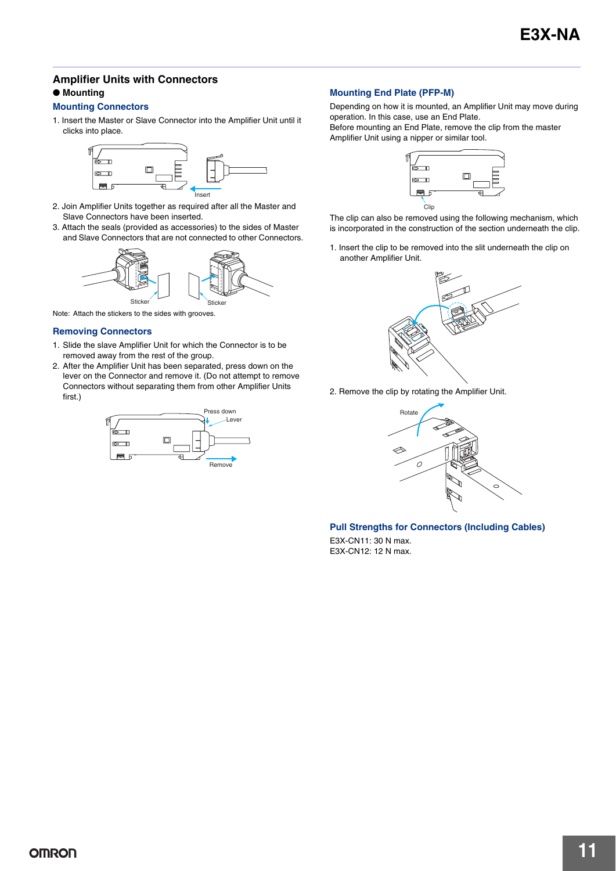### **Amplifier Units with Connectors** ● **Mounting**

#### **Mounting Connectors**

1. Insert the Master or Slave Connector into the Amplifier Unit until it clicks into place.



- 2. Join Amplifier Units together as required after all the Master and Slave Connectors have been inserted.
- 3. Attach the seals (provided as accessories) to the sides of Master and Slave Connectors that are not connected to other Connectors.



Note: Attach the stickers to the sides with grooves.

#### **Removing Connectors**

- 1. Slide the slave Amplifier Unit for which the Connector is to be removed away from the rest of the group.
- 2. After the Amplifier Unit has been separated, press down on the lever on the Connector and remove it. (Do not attempt to remove Connectors without separating them from other Amplifier Units first.)



#### **Mounting End Plate (PFP-M)**

Depending on how it is mounted, an Amplifier Unit may move during operation. In this case, use an End Plate.

Before mounting an End Plate, remove the clip from the master Amplifier Unit using a nipper or similar tool.



The clip can also be removed using the following mechanism, which is incorporated in the construction of the section underneath the clip.

1. Insert the clip to be removed into the slit underneath the clip on another Amplifier Unit.



2. Remove the clip by rotating the Amplifier Unit.



#### **Pull Strengths for Connectors (Including Cables)**

E3X-CN11: 30 N max. E3X-CN12: 12 N max.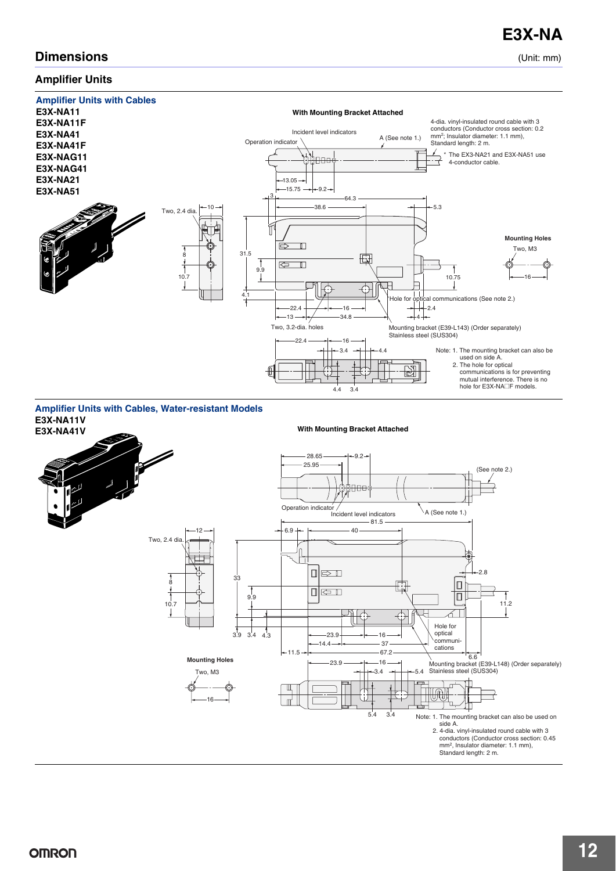## **Dimensions** (Unit: mm)

### **Amplifier Units**



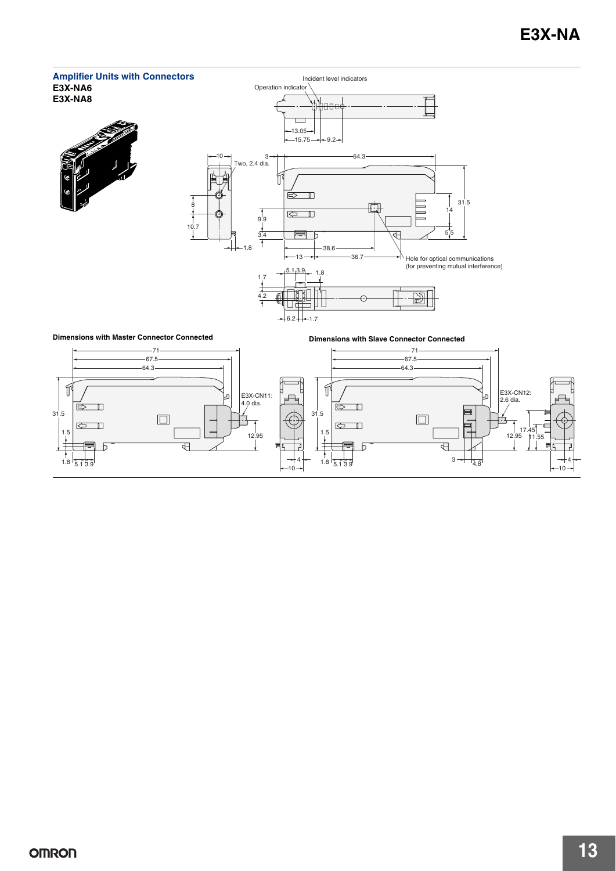